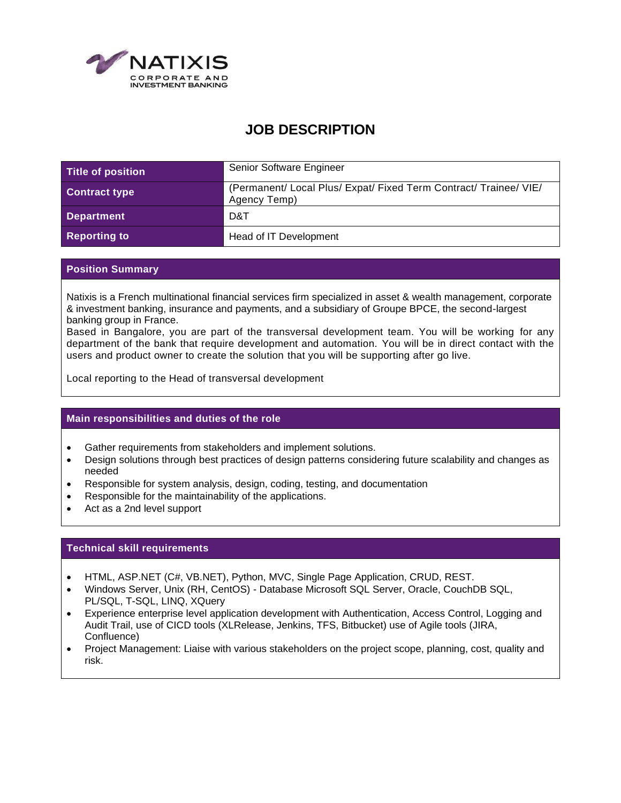

# **JOB DESCRIPTION**

| Title of position    | Senior Software Engineer                                                          |
|----------------------|-----------------------------------------------------------------------------------|
| <b>Contract type</b> | (Permanent/ Local Plus/ Expat/ Fixed Term Contract/ Trainee/ VIE/<br>Agency Temp) |
| Department           | D&T                                                                               |
| <b>Reporting to</b>  | Head of IT Development                                                            |

## **Position Summary**

Natixis is a French multinational financial services firm specialized in asset & wealth management, corporate & investment banking, insurance and payments, and a subsidiary of Groupe BPCE, the second-largest banking group in France.

Based in Bangalore, you are part of the transversal development team. You will be working for any department of the bank that require development and automation. You will be in direct contact with the users and product owner to create the solution that you will be supporting after go live.

Local reporting to the Head of transversal development

### **Main responsibilities and duties of the role**

- Gather requirements from stakeholders and implement solutions.
- Design solutions through best practices of design patterns considering future scalability and changes as needed
- Responsible for system analysis, design, coding, testing, and documentation
- Responsible for the maintainability of the applications.
- Act as a 2nd level support

### **Technical skill requirements**

- HTML, ASP.NET (C#, VB.NET), Python, MVC, Single Page Application, CRUD, REST.
- Windows Server, Unix (RH, CentOS) Database Microsoft SQL Server, Oracle, CouchDB SQL, PL/SQL, T-SQL, LINQ, XQuery
- Experience enterprise level application development with Authentication, Access Control, Logging and Audit Trail, use of CICD tools (XLRelease, Jenkins, TFS, Bitbucket) use of Agile tools (JIRA, Confluence)
- Project Management: Liaise with various stakeholders on the project scope, planning, cost, quality and risk.